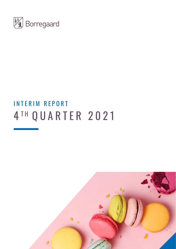

# 4 TH QUARTER 2021 INTERIM REPORT

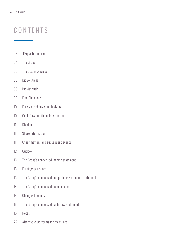# **CONTENTS**

- $03 + 4$ <sup>th</sup> quarter in brief
- 04 The Group
- 06 | The Business Areas
- 06 | BioSolutions
- 08 | BioMaterials
- 09 | Fine Chemicals
- 10 Foreign exchange and hedging
- 10 Cash flow and financial situation
- 11 Dividend
- 11 | Share information
- 11 Other matters and subsequent events
- 12 Outlook
- 13 The Group's condensed income statement
- 13 Earnings per share
- 13 The Group's condensed comprehensive income statement
- 14 The Group's condensed balance sheet
- 14 Changes in equity
- 15 The Group's condensed cash flow statement
- 16 Notes
- 22 Alternative performance measures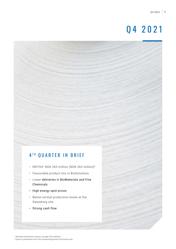# Q4 2021

# 4TH QUARTER IN BRIEF

- EBITDA<sup>1</sup> NOK 263 million (NOK 263 million)<sup>2</sup>
- Favourable product mix in BioSolutions
- Lower deliveries in BioMaterials and Fine Chemicals
- High energy spot prices
- Below normal production levels at the Sarpsborg site
- Strong cash flow

*<sup>2</sup> Figures in parentheses are for the corresponding period in the previous year.*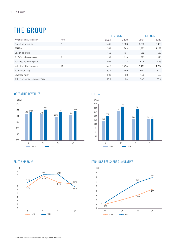# THE GROUP

|                                             |                |       | $1.10 - 31.12$ |       | $1.1 - 31.12$ |  |  |
|---------------------------------------------|----------------|-------|----------------|-------|---------------|--|--|
| Amounts in NOK million                      | Note           | 2021  | 2020           | 2021  | 2020          |  |  |
| Operating revenues                          | $\overline{2}$ | 1,446 | 1,338          | 5,805 | 5,328         |  |  |
| EBITDA <sup>1</sup>                         |                | 263   | 263            | 1,372 | 1,132         |  |  |
| Operating profit                            |                | 156   | 131            | 952   | 568           |  |  |
| Profit/loss before taxes                    | $\overline{2}$ | 132   | 119            | 873   | 496           |  |  |
| Earnings per share (NOK)                    |                | 1.02  | 1.22           | 6.95  | 4.38          |  |  |
| Net interest-bearing debt <sup>1</sup>      | 11             | 1,417 | 1,794          | 1,417 | 1,794         |  |  |
| Equity ratio <sup>1</sup> $(\%)$            |                | 60.1  | 53.9           | 60.1  | 53.9          |  |  |
| Leverage ratio <sup>1</sup>                 |                | 1.03  | 1.58           | 1.03  | 1.58          |  |  |
| Return on capital employed <sup>1</sup> (%) |                | 16.1  | 11.4           | 16.1  | 11.4          |  |  |
|                                             |                |       |                |       |               |  |  |

## OPERATING REVENUES



EBITDA<sup>1</sup>



## EBITDA MARGIN1



# EARNINGS PER SHARE CUMULATIVE

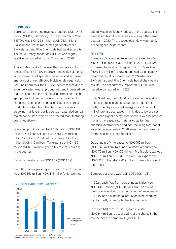### FOURTH QUARTER

Borregaard's operating revenues reached NOK 1,446 million (NOK 1,338 million)<sup>2</sup> in the 4<sup>th</sup> quarter of 2021. EBITDA1 was NOK 263 million (NOK 263 million). BioSolutions' result improved significantly, while BioMaterials and Fine Chemicals had weaker results. The net currency impact on EBITDA1 was slightly positive compared with the 4<sup>th</sup> quarter of 2020.

A favourable product mix was the main reason for the significant EBITDA<sup>1</sup> improvement in BioSolutions. Lower deliveries of speciality cellulose and increased energy spot prices affected BioMaterials negatively. For Fine Chemicals, the EBITDA1 decrease was due to lower deliveries, weaker product mix and increased raw material costs for fine chemical intermediates. High spot prices for liquefied natural gas and electricity led to increased energy costs in all business areas. Production output from the Sarpsborg site was below normal levels, partly due to an extended annual maintenance stop, which also affected manufacturing costs negatively.

Operating profit reached NOK 156 million (NOK 131 million). Net financial items were NOK -24 million (NOK -12 million). Profit before tax was NOK 132 million (NOK 119 million). Tax expense of NOK -39 million (NOK -8 million), gave a tax rate of 30% (7%) in the quarter.

Earnings per share was NOK 1.02 (NOK 1.22).

Cash flow from operating activities in the 4<sup>th</sup> quarter was NOK 356 million (NOK 416 million). Net working



CASH FLOW FROM OPFRATING ACTIVITIES

capital was significantly reduced in the quarter. The cash effect from EBITDA<sup>1</sup> was in line with the same quarter in 2020. The reduced cash flow was mainly due to higher tax payments.

### FULL YEAR

Borregaard's operating revenues increased to NOK 5,805 million (NOK 5,328 million) in 2021. EBITDA<sup>1</sup> increased to an all-time high of NOK 1,372 million (NOK 1,132 million). BioSolutions had a significantly improved result compared with 2020, whereas BioMaterials and Fine Chemicals had slightly weaker results. The net currency impact on EBITDA<sup>1</sup> was negative compared with 2020.

In BioSolutions, the EBITDA<sup>1</sup> improvement was due to price increases and a favourable product mix, partly offset by increased energy costs. The result in BioMaterials decreased, mainly due to lower sales prices and higher energy spot prices. A weaker product mix and increased raw material costs for fine chemical intermediates and non-recurring bioethanol sales to disinfectants in 2020 were the main reasons for the decline in Fine Chemicals.

Operating profit increased to NOK 952 million (NOK 568 million). Net financial items amounted to NOK -79 million (NOK -72 million). Profit before tax was NOK 873 million (NOK 496 million). Tax expense of NOK -213 million (NOK -117 million), gave a tax rate of 24% (24%).

Earnings per share was NOK 6.95 (NOK 4.38).

In 2021, cash flow from operating activities was NOK 1,431 million (NOK 886 million). The strong cash flow was due to the cash effect of an increased EBITDA<sup>1</sup> and a substantial reduction in net working capital, partly offset by higher tax payments.

In the 2nd half of 2021, Borregaard invested NOK 144 million to acquire 25% of the shares in the marine biotech company Alginor ASA.

*2 Figures in parentheses are for the corresponding period in the previous year.*

*<sup>1</sup> Alternative performance measure, see page 23 for definition.*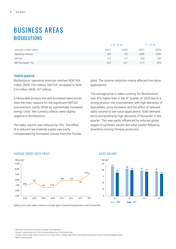# BUSINESS AREAS BIOSOLUTIONS

|                                | $1.10 - 31.12$ |      | $1.1 - 31.12$ |       |
|--------------------------------|----------------|------|---------------|-------|
| Amounts in NOK million         | 2021           | 2020 | 2021          | 2020  |
| Operating revenues             | 934            | 733  | 3.469         | 3,082 |
| EBITDA <sup>1</sup>            | 214            | 137  | 942           | 632   |
| EBITDA margin <sup>1</sup> (%) | 22.9           | 18.7 | 27.2          | 20.5  |

## FOURTH QUARTER

BioSolutions' operating revenues reached NOK 934 million (NOK 733 million). EBITDA<sup>1</sup> increased to NOK 214 million (NOK 137 million).

A favourable product mix and increased sales prices were the main reasons for the significant EBITDA<sup>1</sup> improvement, partly offset by substantially increased energy costs. Net currency effects were slightly negative in BioSolutions.

The sales volume was reduced by 13%. The effect of a reduced raw material supply was partly compensated by increased volume from the Florida plant. The volume reduction mainly affected low-value applications.

The average price in sales currency for BioSolutions was 41% higher than in the 4th quarter of 2020 due to a strong product mix improvement with high deliveries of Specialities, price increases and the effect of reduced sales volume to low-value applications. Solid demand led to extraordinarily high deliveries of biovanillin in the quarter. This was partly influenced by reduced global supply of synthetic vanillin and ethyl vanillin following downtime among Chinese producers.



### AVERAGE GROSS SALES PRICE3 AVERAGE GROSS SALES PRICE3

7,431

6,885

10,000

11,000

NOK per mtds4 NOK per mtds4

11,000

10,000

8,000  $\overline{\phantom{a}}$ 6,000  $-$ 

9,000

6,885

8,000 7,000 6,000 5,000

9,000

*Sales price and sales volume include lignin-based biopolymers and biovanillin.*

6,701 6,756 6,701 6,756

 $^{\rm 3}$  Includes 100% of sales volume from the J/V in South Africa. Average sales price is calculated using actual FX rates, excluding hedging impact.

*4 Metric tonne dry solid.*

# SALES VOLUME3 SALES VOLUME3

*<sup>1</sup> Alternative performance measure, see page 23 for definition.*

*<sup>2</sup> Figures in parentheses are for the corresponding period in the previous year.*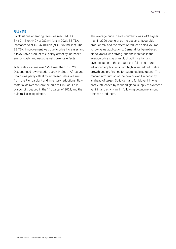### FULL YEAR

BioSolutions operating revenues reached NOK 3,469 million (NOK 3,082 million) in 2021. EBITDA<sup>1</sup> increased to NOK 942 million (NOK 632 million). The EBITDA<sup>1</sup> improvement was due to price increases and a favourable product mix, partly offset by increased energy costs and negative net currency effects.

Total sales volume was 12% lower than in 2020. Discontinued raw material supply in South Africa and Spain was partly offset by increased sales volume from the Florida plant and inventory reductions. Raw material deliveries from the pulp mill in Park Falls, Wisconsin, ceased in the 1<sup>st</sup> quarter of 2021, and the pulp mill is in liquidation.

The average price in sales currency was 24% higher than in 2020 due to price increases, a favourable product mix and the effect of reduced sales volume to low-value applications. Demand for lignin-based biopolymers was strong, and the increase in the average price was a result of optimisation and diversification of the product portfolio into more advanced applications with high value-added, stable growth and preference for sustainable solutions. The market introduction of the new biovanillin capacity is ahead of target. Solid demand for biovanillin was partly influenced by reduced global supply of synthetic vanillin and ethyl vanillin following downtime among Chinese producers.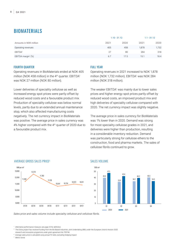# BIOMATERIALS

|                                | $1.10 - 31.12$ |      | $1.1 - 31.12$ |       |
|--------------------------------|----------------|------|---------------|-------|
| Amounts in NOK million         | 2021           | 2020 | 2021          | 2020  |
| Operating revenues             | 405            | 458  | 1,878         | 1,732 |
| EBITDA <sup>1</sup>            | 27             | 80   | 284           | 318   |
| EBITDA margin <sup>1</sup> (%) | 6.7            | 17.5 | 15.1          | 18.4  |

## FOURTH QUARTER

Operating revenues in BioMaterials ended at NOK 405 million (NOK 458 million) in the 4<sup>th</sup> quarter. EBITDA<sup>1</sup> was NOK 27 million (NOK 80 million).

Lower deliveries of speciality cellulose as well as increased energy spot prices were partly offset by reduced wood costs and a favourable product mix. Production of speciality cellulose was below normal levels, partly due to an extended annual maintenance stop, which also affected manufacturing costs negatively. The net currency impact in BioMaterials was positive. The average price in sales currency was 4% higher compared with the 4th quarter of 2020 due to a favourable product mix.

## FULL YEAR

Operating revenues in 2021 increased to NOK 1,878 million (NOK 1,732 million). EBITDA<sup>1</sup> was NOK 284 million (NOK 318 million).

The weaker EBITDA<sup>1</sup> was mainly due to lower sales prices and higher energy spot prices partly offset by reduced wood costs, an improved product mix and high deliveries of speciality cellulose compared with 2020. The net currency impact was slightly negative.

The average price in sales currency for BioMaterials was 1% lower than in 2020. Demand was strong for most speciality cellulose grades in 2021, and deliveries were higher than production, resulting in a considerable inventory reduction. Demand was particularly strong for cellulose ethers to the construction, food and pharma markets. The sales of cellulose fibrils continued to grow.



### AVERAGE GROSS SALES PRICE5 AVERAGE GROSS SALES PRICE5

#### SALES VOLUME SALES VOLUME



*Sales price and sales volume include speciality cellulose and cellulose fibrils.*

*1 Alternative performance measure, see page 23 for definition.*

*<sup>6</sup> Average sales price is calculated using actual FX rates, excluding hedging impact.*

*<sup>7</sup> Metric tonne.*

<sup>&</sup>lt;sup>5</sup> The Exilva project has received funding from the Bio-Based Industries Joint Undertaking (BBI) under the European Union's Horizon 2020 *research and innovation programme under grant agreement No 709746*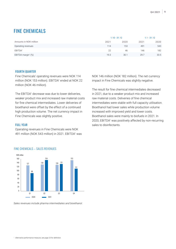# **FINE CHEMICALS**

|                                | $1.10 - 31.12$ |      | $1.1 - 31.12$ |      |
|--------------------------------|----------------|------|---------------|------|
| Amounts in NOK million         | 2021           | 2020 | 2021          | 2020 |
| Operating revenues             | 114            | 153  | 491           | 543  |
| EBITDA <sup>1</sup>            | 22             | 46   | 146           | 182  |
| EBITDA margin <sup>1</sup> (%) | 19.3           | 30.1 | 29.7          | 33.5 |

### FOURTH QUARTER

Fine Chemicals' operating revenues were NOK 114 million (NOK 153 million). EBITDA<sup>1</sup> ended at NOK 22 million (NOK 46 million).

The EBITDA1 decrease was due to lower deliveries, weaker product mix and increased raw material costs for fine chemical intermediates. Lower deliveries of bioethanol were offset by the effect of a continued high production volume. The net currency impact in Fine Chemicals was slightly positive.

### FULL YEAR

Operating revenues in Fine Chemicals were NOK 491 million (NOK 543 million) in 2021. EBITDA<sup>1</sup> was



The result for fine chemical intermediates decreased in 2021, due to a weaker product mix and increased raw material costs. Deliveries of fine chemical intermediates were stable with full capacity utilisation. Bioethanol had lower sales while production volume increased with improved yield and lower costs. Bioethanol sales were mainly to biofuels in 2021. In 2020, EBITDA1 was positively affected by non-recurring sales to disinfectants.



### FINE CHEMICALS – SALES REVENUES

*Sales revenues include pharma intermediates and bioethanol.*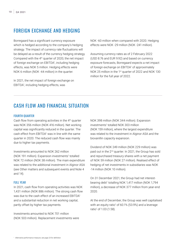# FOREIGN EXCHANGE AND HEDGING

Borregaard has a significant currency exposure which is hedged according to the company's hedging strategy. The impact of currency rate fluctuations will be delayed as a result of the currency hedging strategy. Compared with the  $4<sup>th</sup>$  quarter of 2020, the net impact of foreign exchange on EBITDA<sup>1</sup>, including hedging effects, was NOK 5 million. Hedging effects were NOK 6 million (NOK -44 million) in the quarter.

In 2021, the net impact of foreign exchange on EBITDA1 , including hedging effects, was

NOK -60 million when compared with 2020. Hedging effects were NOK -29 million (NOK -241 million).

Assuming currency rates as of 2 February 2022 (USD 8.76 and EUR 9.92) and based on currency exposure forecasts, Borregaard expects a net impact of foreign exchange on EBITDA<sup>1</sup> of approximately NOK 25 million in the 1<sup>st</sup> quarter of 2022 and NOK 130 million for the full year of 2022.

# CASH FLOW AND FINANCIAL SITUATION

## FOURTH QUARTER

Cash flow from operating activities in the 4<sup>th</sup> quarter was NOK 356 million (NOK 416 million). Net working capital was significantly reduced in the quarter. The cash effect from EBITDA1 was in line with the same quarter in 2020. The reduced cash flow was mainly due to higher tax payments.

Investments amounted to NOK 262 million (NOK 191 million). Expansion investments<sup>1</sup> totalled NOK 72 million (NOK 38 million). The main expenditure was related to the additional investment in Alginor ASA (see Other matters and subsequent events and Note 4 and 14).

#### FULL YEAR

In 2021, cash flow from operating activities was NOK 1,431 million (NOK 886 million). The strong cash flow was due to the cash effect of an increased EBITDA<sup>1</sup> and a substantial reduction in net working capital, partly offset by higher tax payments.

Investments amounted to NOK 701 million (NOK 503 million). Replacement investments were NOK 398 million (NOK 344 million). Expansion investments<sup>1</sup> totalled NOK 303 million (NOK 159 million), where the largest expenditure was related to the investment in Alginor ASA and the biovanillin capacity expansion.

Dividend of NOK 249 million (NOK 229 million) was paid out in the 2nd quarter. In 2021, the Group has sold and repurchased treasury shares with a net payment of NOK 59 million (NOK 27 million). Realised effect of hedging of net investments in subsidiaries was NOK -14 million (NOK 10 million).

On 31 December 2021, the Group had net interestbearing debt<sup>1</sup> totalling NOK 1,417 million (NOK 1,794 million), a decrease of NOK 377 million from year-end 2020.

At the end of December, the Group was well capitalised with an equity ratio<sup>1</sup> of 60.1% (53.9%) and a leverage ratio<sup>1</sup> of 1.03 (1.58).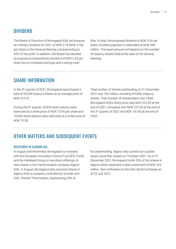# DIVIDEND

The Board of Directors of Borregaard ASA will propose an ordinary dividend for 2021 of NOK 2.75 (NOK 2.50) per share to the General Meeting, corresponding to 40% of net profit. In addition, the Board has decided to propose an extraordinary dividend of NOK 2.25 per share due to increased earnings and a strong cash

flow. In total, the proposed dividend is NOK 5.00 per share. Dividend payment is estimated at NOK 498 million. The exact amount will depend on the number of treasury shares held at the date of the General Meeting.

# SHARE INFORMATION

In the 4th quarter of 2021, Borregaard repurchased a total of 33,506 treasury shares at an average price of NOK 210.13.

During the 4th quarter, 29,520 share options were exercised at a strike price of NOK 70.95 per share and 15,000 share options were exercised at a strike price of NOK 75.30.

Total number of shares outstanding on 31 December 2021 was 100 million, including 414,862 treasury shares. Total number of shareholders was 7,846. Borregaard ASA's share price was NOK 222.00 at the end of 2021 compared with NOK 212.50 at the end of the 3rd quarter of 2021 and NOK 141.80 at the end of 2020.

# OTHER MATTERS AND SUBSEQUENT EVENTS

### INVESTMENT IN ALGINOR ASA

In August and November, Borregaard co-invested with the European Innovation Council Fund (EIC Fund) and the Hatteland Group in two direct offerings of new shares in the marine biotech company Alginor ASA. In August, Borregaard also acquired shares in Alginor from a company controlled by founder and CEO, Thorleif Thormodsen, representing 25% of

his shareholding. Alginor also carried out a public equity issue that closed on 7 October 2021. As of 31 December 2021, Borregaard holds 25% of the shares in Alginor which represent a total investment of NOK 144 million. See notification to the Oslo Stock Exchange as of 23 July 2021.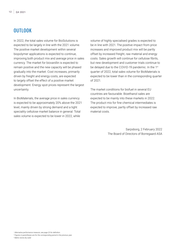# **OUTLOOK**

In 2022, the total sales volume for BioSolutions is expected to be largely in line with the 2021 volume. The positive market development within several biopolymer applications is expected to continue, improving both product mix and average price in sales currency. The market for biovanillin is expected to remain positive and the new capacity will be phased gradually into the market. Cost increases, primarily driven by freight and energy costs, are expected to largely offset the effect of a positive market development. Energy spot prices represent the largest uncertainty.

In BioMaterials, the average price in sales currency is expected to be approximately 20% above the 2021 level, mainly driven by strong demand and a tight speciality cellulose market balance in general. Total sales volume is expected to be lower in 2022, while

volume of highly specialised grades is expected to be in line with 2021. The positive impact from price increases and improved product mix will be partly offset by increased freight, raw material and energy costs. Sales growth will continue for cellulose fibrils, but new development and customer trials continue to be delayed due to the COVID-19 pandemic. In the 1<sup>st</sup> quarter of 2022, total sales volume for BioMaterials is expected to be lower than in the corresponding quarter of 2021.

The market conditions for biofuel in several EU countries are favourable. Bioethanol sales are expected to be mainly into these markets in 2022. The product mix for fine chemical intermediates is expected to improve, partly offset by increased raw material costs.

> Sarpsborg, 2 February 2022 The Board of Directors of Borregaard ASA

*<sup>1</sup> Alternative performance measure, see page 23 for definition.*

*<sup>2</sup> Figures in parentheses are for the corresponding period in the previous year.*

*3 Metric tonne dry solid*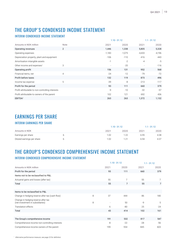# THE GROUP´S CONDENSED INCOME STATEMENT

# INTERIM CONDENSED INCOME STATEMENT

|                                                  |                |          | $1.10 - 31.12$ |          | $1.1 - 31.12$ |  |
|--------------------------------------------------|----------------|----------|----------------|----------|---------------|--|
| Amounts in NOK million                           | Note           | 2021     | 2020           | 2021     | 2020          |  |
| Operating revenues                               | $\overline{2}$ | 1,446    | 1,338          | 5,805    | 5,328         |  |
| Operating expenses                               |                | $-1,183$ | $-1,075$       | $-4,433$ | $-4,196$      |  |
| Depreciation property, plant and equipment       |                | $-106$   | $-110$         | $-416$   | $-443$        |  |
| Amortisation intangible assets                   |                | $-1$     | $-2$           | $-4$     | $-5$          |  |
| Other income and expenses <sup>1</sup>           | 3              | $\sim$   | $-20$          |          | $-116$        |  |
| Operating profit                                 |                | 156      | 131            | 952      | 568           |  |
| Financial items, net                             | $\overline{4}$ | $-24$    | $-12$          | $-79$    | $-72$         |  |
| Profit before taxes                              |                | 132      | 119            | 873      | 496           |  |
| Income tax expense                               | 5              | $-39$    | -8             | $-213$   | $-117$        |  |
| Profit for the period                            |                | 93       | 111            | 660      | 379           |  |
| Profit attributable to non-controlling interests |                | $-9$     | $-10$          | $-32$    | $-57$         |  |
| Profit attributable to owners of the parent      |                | 102      | 121            | 692      | 436           |  |
| EBITDA <sup>1</sup>                              |                | 263      | 263            | 1,372    | 1,132         |  |

# EARNINGS PER SHARE

# INTERIM EARNINGS PER SHARE

|                            |      |      | $1.10 - 31.12$ |      | $1.1 - 31.12$ |  |
|----------------------------|------|------|----------------|------|---------------|--|
| Amounts in NOK             | 2021 | 2020 | 2021           | 2020 |               |  |
| Earnings per share         |      | 1.02 |                | 6.95 | 4.38          |  |
| Diluted earnings per share |      | 1.02 |                | 6.94 | 4.37          |  |

# THE GROUP'S CONDENSED COMPREHENSIVE INCOME STATEMENT

# INTERIM CONDENSED COMPREHENSIVE INCOME STATEMENT

|                                                                         |   | $1.10 - 31.12$ |       | $1.1 - 31.12$ |                |
|-------------------------------------------------------------------------|---|----------------|-------|---------------|----------------|
| Amounts in NOK million                                                  |   | 2021           | 2020  | 2021          | 2020           |
| Profit for the period                                                   |   | 93             | 111   | 660           | 379            |
| Items not to be reclassified to P&L                                     |   |                |       |               |                |
| Actuarial gains and losses (after tax)                                  |   | 55             | 7     | 55            | $\overline{7}$ |
| Total                                                                   |   | 55             | 7     | 55            | $\overline{7}$ |
|                                                                         |   |                |       |               |                |
| Items to be reclassified to P&L                                         |   |                |       |               |                |
| Change in hedging-reserve after tax (cash flow)                         | 8 | 37             | 444   | 86            | 180            |
| Change in hedging-reserve after tax<br>(net investment in subsidiaries) | 8 |                | 50    | $-9$          | 5              |
| <b>Translation effects</b>                                              |   | 6              | -80   | 25            | $-24$          |
| Total                                                                   |   | 43             | 414   | 102           | 161            |
|                                                                         |   |                |       |               |                |
| The Group's comprehensive income                                        |   | 191            | 532   | 817           | 547            |
| Comprehensive income non-controlling interests                          |   | -8             | $-22$ | $-28$         | $-56$          |
| Comprehensive income owners of the parent                               |   | 199            | 554   | 845           | 603            |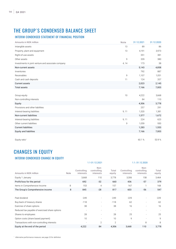# THE GROUP´S CONDENSED BALANCE SHEET

# INTERIM CONDENSED STATEMENT OF FINANCIAL POSITION

| Amounts in NOK million                             | Note  | 31.12.2021 | 31.12.2020 |
|----------------------------------------------------|-------|------------|------------|
| Intangible assets                                  | 13    | 89         | 86         |
| Property, plant and equipment                      | 13    | 4,191      | 3,973      |
| Right-of-use assets                                |       | 351        | 381        |
| Other assets                                       | 9     | 339        | 380        |
| Investments in joint venture and associate company | 4, 14 | 173        | 38         |
| Non-current assets                                 |       | 5,143      | 4,858      |
| Inventories                                        |       | 792        | 887        |
| Receivables                                        | 9     | 1,107      | 1,051      |
| Cash and cash deposits                             | 11    | 124        | 207        |
| <b>Current assets</b>                              |       | 2,023      | 2,145      |
| <b>Total assets</b>                                |       | 7,166      | 7,003      |
|                                                    |       |            |            |
| Group equity                                       | 10    | 4,222      | 3,668      |
| Non-controlling interests                          |       | 84         | 110        |
| Equity                                             |       | 4,306      | 3,778      |
| Provisions and other liabilities                   |       | 257        | 291        |
| Interest-bearing liabilities                       | 9, 11 | 1,320      | 1,381      |
| Non-current liabilities                            |       | 1,577      | 1,672      |
| Interest-bearing liabilities                       | 9, 11 | 224        | 623        |
| Other current liabilities                          | 9     | 1,059      | 930        |
| <b>Current liabilities</b>                         |       | 1,283      | 1,553      |
| Equity and liabilites                              |       | 7,166      | 7,003      |
|                                                    |       |            |            |
| Equity ratio <sup>1</sup>                          |       | 60.1%      | 53.9%      |

# CHANGES IN EQUITY INTERIM CONDENSED CHANGE IN EQUITY

|                                                |      |                          | 1.1-31.12.2021                   |                          |                          | 1.1.-31.12.2020                  |                 |
|------------------------------------------------|------|--------------------------|----------------------------------|--------------------------|--------------------------|----------------------------------|-----------------|
| Amounts in NOK million                         | Note | Controlling<br>interests | Non-<br>controlling<br>interests | Total<br>equity          | Controlling<br>interests | Non-<br>controlling<br>interests | Total<br>equity |
| Equity 1 January                               |      | 3,668                    | 110                              | 3,778                    | 3,306                    | 158                              | 3,464           |
| Profit/loss for the period                     |      | 692                      | $-32$                            | 660                      | 436                      | $-57$                            | 379             |
| Items in Comprehensive Income                  | 8    | 153                      | $\overline{4}$                   | 157                      | 167                      |                                  | 168             |
| The Group's Comprehensive income               | 8    | 845                      | $-28$                            | 817                      | 603                      | $-56$                            | 547             |
|                                                |      |                          |                                  |                          |                          |                                  |                 |
| Paid dividend                                  |      | $-249$                   |                                  | $-249$                   | $-229$                   |                                  | $-229$          |
| Buy-back of treasury shares                    |      | $-118$                   |                                  | $-118$                   | $-62$                    |                                  | $-62$           |
| Exercise of share options                      |      | 38                       |                                  | 38                       | 16                       |                                  | 16              |
| Reduced tax payable of exercised share options |      | $\overline{\phantom{a}}$ |                                  | $\overline{\phantom{a}}$ |                          |                                  |                 |
| Shares to employees                            |      | 28                       | ٠                                | 28                       | 25                       |                                  | 25              |
| Option costs (share based payment)             |      | 10                       |                                  | 10                       | 9                        |                                  | 9               |
| Transactions with non-controlling interests    |      |                          | $\overline{2}$                   | $\mathfrak{D}$           |                          | 8                                | 8               |
| Equity at the end of the period                |      | 4,222                    | 84                               | 4,306                    | 3,668                    | 110                              | 3,778           |

*1 Alternative performance measure, see page 23 for definition.*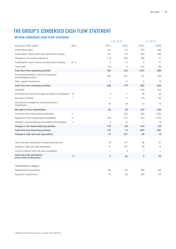# THE GROUP'S CONDENSED CASH FLOW STATEMENT

# INTERIM CONDENSED CASH FLOW STATEMENT

|                                                                      |             |                | $1.10 - 31.12$ |        | $1.1 - 31.12$ |
|----------------------------------------------------------------------|-------------|----------------|----------------|--------|---------------|
| Amounts in NOK million                                               | <b>Note</b> | 2021           | 2020           | 2021   | 2020          |
| Profit before taxes                                                  |             | 132            | 119            | 873    | 496           |
| Amortisation, depreciation and impairment charges                    |             | 107            | 113            | 420    | 449           |
| Changes in net working capital, etc.                                 |             | 174            | 200            | 256    | $-21$         |
| Investments in joint venture and associate company                   | 4, 14       | 6              | $-12$          | 6      | 51            |
| Taxes paid                                                           |             | $-63$          | $-4$           | $-124$ | $-89$         |
| Cash flow from operating activities                                  |             | 356            | 416            | 1,431  | 886           |
| Investments property, plant and equipment<br>and intangible assets * |             | $-262$         | $-191$         | $-701$ | $-503$        |
| Other capital transactions                                           |             | $\overline{4}$ | 12             | 9      | 14            |
| Cash flow from investing activities                                  |             | $-258$         | $-179$         | $-692$ | $-489$        |
| Dividends                                                            |             |                |                | $-249$ | $-229$        |
| Proceeds from exercise of options/shares to employees                | 10          | $\overline{4}$ | 1              | 59     | 35            |
| Buy-back of shares                                                   | 7           | $-7$           | $-1$           | $-118$ | $-62$         |
| Gain/(loss) on hedges for net investments in<br>subsidiaries         |             | $-25$          | 59             | $-14$  | 10            |
| Net paid to/from shareholders                                        |             | $-28$          | 59             | $-322$ | $-246$        |
| Proceeds from interest-bearing liabilities                           | 11          |                | 200            | 300    | 1,550         |
| Repayment from interest-bearing liabilities                          | 11          | $-146$         | $-257$         | $-814$ | $-1,703$      |
| Change in interest-bearing receivables/other liabilities             | 11          | $\overline{4}$ | $-12$          | $-1$   | 18            |
| Change in net interest-bearing liabilities                           |             | $-142$         | $-69$          | $-515$ | $-135$        |
| Cash flow from financing activities                                  |             | $-170$         | $-10$          | $-837$ | $-381$        |
| Change in cash and cash equivalents                                  |             | $-72$          | 227            | $-98$  | 16            |
|                                                                      |             |                |                |        |               |
| Cash and cash equivalents at beginning of period                     |             | 76             | $-127$         | 96     | 81            |
| Change in cash and cash equivalents                                  |             | $-72$          | 227            | -98    | 16            |
| Currency effects cash and cash equivalents                           |             | $\mathbf{1}$   | $-4$           | 7      | $-1$          |
| Cash and cash equivalents<br>at the close of the period              | 11          | 5              | 96             | 5      | 96            |
| *Investment by category                                              |             |                |                |        |               |
| Replacement investments                                              |             | 190            | 153            | 398    | 344           |
| Expansion investments <sup>1</sup>                                   |             | 72             | 38             | 303    | 159           |
|                                                                      |             |                |                |        |               |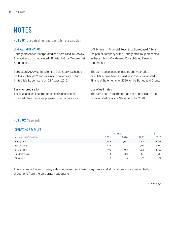# **NOTES**

## NOTE 01 Organisation and basis for preparation

## GENERAL INFORMATION

Borregaard ASA is incorporated and domiciled in Norway. The address of its registered office is Hjalmar Wessels vei 6, Sarpsborg.

Borregaard ASA was listed on the Oslo Stock Exchange on 18 October 2012 and was incorporated as a public limited liability company on 22 August 2012.

### Basis for preparation

These unaudited Interim Condensed Consolidated Financial Statements are prepared in accordance with IAS 34 Interim Financial Reporting. Borregaard ASA is the parent company of the Borregaard Group presented in these Interim Condensed Consolidated Financial Statements.

The same accounting principles and methods of calculation have been applied as in the Consolidated Financial Statements for 2020 for the Borregaard Group.

## Use of estimates

The same use of estimates has been applied as in the Consolidated Financial Statements for 2020.

# NOTE 02 Segments

## OPERATING REVENUES

|                        | $1.10 - 31.12$ |       | $1.1 - 31.12$ |       |
|------------------------|----------------|-------|---------------|-------|
| Amounts in NOK million | 2021           | 2020  | 2021          | 2020  |
| Borregaard             | 1,446          | 1,338 | 5,805         | 5,328 |
| <b>BioSolutions</b>    | 934            | 733   | 3,469         | 3,082 |
| <b>BioMaterials</b>    | 405            | 458   | 1,878         | 1,732 |
| Fine Chemicals         | 114            | 153   | 491           | 543   |
| Eliminations           | $-7$           | -6    | $-33$         | $-29$ |

There is limited intercompany sales between the different segments and eliminations consist essentially of allocations from the corporate headquarter.

*cont. next page*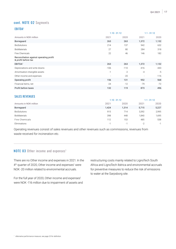# cont. NOTE 02 Segments

## EBITDA1

|                                                                |        | $1.10 - 31.12$ |        |        |
|----------------------------------------------------------------|--------|----------------|--------|--------|
| Amounts in NOK million                                         | 2021   | 2020           | 2021   | 2020   |
| Borregaard                                                     | 263    | 263            | 1,372  | 1,132  |
| <b>BioSolutions</b>                                            | 214    | 137            | 942    | 632    |
| <b>BioMaterials</b>                                            | 27     | 80             | 284    | 318    |
| Fine Chemicals                                                 | 22     | 46             | 146    | 182    |
| Reconciliation against operating profit<br>& profit before tax |        |                |        |        |
| EBITDA <sup>1</sup>                                            | 263    | 263            | 1,372  | 1,132  |
| Depreciations and write downs                                  | $-106$ | $-110$         | $-416$ | $-443$ |
| Amortisation intangible assets                                 | $-1$   | $-2$           | $-4$   | $-5$   |
| Other income and expenses                                      |        | $-20$          |        | $-116$ |
| Operating profit                                               | 156    | 131            | 952    | 568    |
| Financial items, net                                           | $-24$  | $-12$          | -79    | $-72$  |
| Profit before taxes                                            | 132    | 119            | 873    | 496    |

## SALES REVENUES

|                        |            | $1.10 - 31.12$ |       | $1.1 - 31.12$ |
|------------------------|------------|----------------|-------|---------------|
| Amounts in NOK million | 2021       | 2020           | 2021  | 2020          |
| Borregaard             | 1,424      | 1,314          | 5,715 | 5,227         |
| <b>BioSolutions</b>    | 915        | 714            | 3,392 | 2,995         |
| BioMaterials           | 398        | 448            | 1,840 | 1,695         |
| Fine Chemicals         | 112        | 153            | 485   | 538           |
| Eliminations           | ×.<br>$-1$ | ۰H             | $-2$  | $-1$          |

Operating revenues consist of sales revenues and other revenues such as commissions, revenues from waste received for incineration etc.

## NOTE 03 Other income and expenses<sup>1</sup>

There are no Other income and expenses in 2021. In the  $4<sup>th</sup>$  quarter of 2020, Other income and expenses<sup>1</sup> were NOK -20 million related to environmental accruals.

For the full year of 2020, Other income and expenses<sup>1</sup> were NOK -116 million due to impairment of assets and restructuring costs mainly related to LignoTech South Africa and LignoTech Ibérica and environmental accruals for preventive measures to reduce the risk of emissions to water at the Sarpsborg site.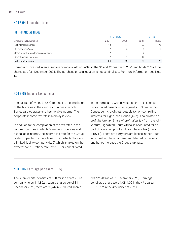# NOTE 04 Financial items

## NET FINANCIAL ITEMS

|                                         | $1.10 - 31.12$ |        | $1.1 - 31.12$ |                |
|-----------------------------------------|----------------|--------|---------------|----------------|
| Amounts in NOK million                  | 2021           | 2020   | 2021          | 2020           |
| Net interest expenses                   | $-13$          | $-17$  | $-59$         | $-76$          |
| Currency gain/loss                      | -7             |        | -8            | $\overline{7}$ |
| Share of profit/-loss from an associate | -2             | $\sim$ | $-2$          | $\sim$         |
| Other financial items, net              | $-2$           | $-1$   | $-10$         | $-3$           |
| Net financial items                     | $-24$          | $-12$  | $-79$         | $-72$          |

Borregaard invested in an associate company, Alginor ASA, in the 3<sup>rd</sup> and 4<sup>th</sup> quarter of 2021 and holds 25% of the shares as of 31 December 2021. The purchase price allocation is not yet finalised. For more information, see Note 14.

# NOTE 05 Income tax expense

The tax rate of 24.4% (23.6%) for 2021 is a compilation of the tax rates in the various countries in which Borregaard operates and has taxable income. The corporate income tax rate in Norway is 22%.

In addition to the compilation of the tax rates in the various countries in which Borregaard operates and has taxable income, the income tax rate for the Group is also impacted by the following: LignoTech Florida is a limited liability company (LLC) which is taxed on the owners' hand. Profit before tax is 100% consolidated

in the Borregaard Group, whereas the tax expense is calculated based on Borregaard's 55% ownership. Consequently, profit attributable to non-controlling interests for LignoTech Florida (45%) is calculated on profit before tax. Share of profit after tax from the joint venture, LignoTech South Africa, is accounted for as part of operating profit and profit before tax (due to IFRS 11). There are carry forward losses in the Group which will not be recognised as deferred tax assets. and hence increase the Group's tax rate.

# NOTE 06 Earnings per share (EPS)

The share capital consists of 100 million shares. The company holds 414,862 treasury shares. As of 31 December 2021, there are 99,742,686 diluted shares

(99,712,283 as of 31 December 2020). Earnings per diluted share were NOK 1.02 in the 4th quarter (NOK 1.22 in the 4th quarter of 2020).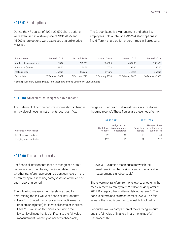# NOTE 07 Stock options

During the 4th quarter of 2021, 29,520 share options were exercised at a strike price of NOK 70.95 and 15,000 share options were exercised at a strike price of NOK 75.30.

The Group Executive Management and other key employees hold a total of 1,236,274 stock options in five different share option programmes in Borregaard.

| Stock options           | Issued 2017      | Issued 2018   | Issued 2019     | Issued 2020      | Issued 2021      |
|-------------------------|------------------|---------------|-----------------|------------------|------------------|
| Number of stock options | 5.307            | 226.967       | 355,000         | 400.000          | 249,000          |
| Strike price (NOK)*     | 91.56            | 70.95         | 75.3            | 99.60            | 180.70           |
| Vesting period          | 3 years          | 3 vears       | 3 years         | 3 years          | 3 years          |
| Expiry date             | 17 February 2022 | February 2023 | 6 February 2024 | 13 February 2025 | 16 February 2026 |

\* Strike prices have been adjusted for dividend paid since issuance of stock options

## NOTE 08 Statement of comprehensive income

The statement of comprehensive income shows changes in the value of hedging instruments, both cash flow

hedges and hedges of net investments in subsidiaries (hedging reserve). These figures are presented after tax.

|                           | 31.12.2021          |                                                | 31.12.2020          |                                                |
|---------------------------|---------------------|------------------------------------------------|---------------------|------------------------------------------------|
| Amounts in NOK million    | Cash flow<br>hedges | Hedges of net<br>investments in<br>subsidiares | Cash flow<br>hedges | Hedges of net<br>investments in<br>subsidiares |
| Tax effect year-to-date   | 39                  | $-45$                                          | 15                  | $-40$                                          |
| Hedging reserve after tax | 137                 | $-126$                                         | -51                 | $-117$                                         |

## NOTE 09 Fair value hierarchy

For financial instruments that are recognised at fair value on a recurring basis, the Group determines whether transfers have occurred between levels in the hierarchy by re-assessing categorisation at the end of each reporting period.

The following measurement levels are used for determining the fair value of financial instruments:

- $\cdot$  Level 1 Quoted market prices in an active market (that are unadjusted) for identical assets or liabilities
- $\cdot$  Level 2 Valuation techniques (for which the lowest level input that is significant to the fair value measurement is directly or indirectly observable)

• Level 3 — Valuation techniques (for which the lowest level input that is significant to the fair value measurement is unobservable)

There were no transfers from one level to another in the measurement hierarchy from 2020 to the 4th quarter of 2021. Borregaard has no items defined as level 1. The bond is determined as measurement level 3. The fair value of the bond is deemed to equal its book value.

Set out below is a comparison of the carrying amount and the fair value of financial instruments as of 31 December 2021: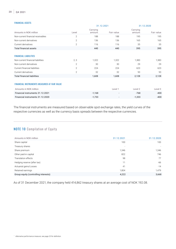### FINANCIAL ASSETS

| <b>FINANGIAL ASSEIS</b>                             |                |                    |                          |                    |            |
|-----------------------------------------------------|----------------|--------------------|--------------------------|--------------------|------------|
|                                                     |                | 31.12.2021         |                          | 31.12.2020         |            |
| Amounts in NOK million                              | Level          | Carrying<br>amount | Fair value               | Carrying<br>amount | Fair value |
| Non-current financial receivables                   | $\overline{2}$ | 188                | 188                      | 195                | 195        |
| Non-current derivatives                             | $\overline{2}$ | 136                | 136                      | 165                | 165        |
| Current derivatives                                 | $\overline{2}$ | 116                | 116                      | 35                 | 35         |
| <b>Total financial assets</b>                       |                | 440                | 440                      | 395                | 395        |
|                                                     |                |                    |                          |                    |            |
| <b>FINANCIAL LIABILITIES</b>                        |                |                    |                          |                    |            |
| Non-current financial liabilities                   | 2, 3           | 1,322              | 1,322                    | 1,383              | 1,383      |
| Non-current derivatives                             | $\overline{2}$ | 30                 | 30                       | 29                 | 29         |
| Current financial liabilities                       | $\mathbf{2}$   | 224                | 224                      | 623                | 623        |
| Current derivatives                                 | $\overline{2}$ | 32                 | 32                       | 93                 | 93         |
| <b>Total financial liabilities</b>                  |                | 1,608              | 1,608                    | 2,128              | 2,128      |
|                                                     |                |                    |                          |                    |            |
| <b>FINANCIAL INSTRUMENTS MEASURED AT FAIR VALUE</b> |                |                    |                          |                    |            |
| Amounts in NOK million                              |                |                    | Level 1                  | Level 2            | Level 3    |
| Financial instruments 31.12.2021                    |                | $-1,168$           | $\overline{\phantom{a}}$ | $-768$             | $-400$     |
| Financial instruments 31.12.2020                    |                | $-1,733$           |                          | $-1,333$           | $-400$     |
|                                                     |                |                    |                          |                    |            |

The financial instruments are measured based on observable spot exchange rates, the yield curves of the respective currencies as well as the currency basis spreads between the respective currencies.

# NOTE 10 Compilation of Equity

| Amounts in NOK million               | 31.12.2021 | 31.12.2020               |
|--------------------------------------|------------|--------------------------|
| Share capital                        | 100        | 100                      |
| Treasury shares                      | ۰          | $\overline{\phantom{a}}$ |
| Share premium                        | 1,346      | 1,346                    |
| Other paid-in capital                | 822        | 746                      |
| Translation effects                  | 98         | 77                       |
| Hedging reserve (after tax)          | 11         | -66                      |
| Actuarial gains/Losses               | 41         | $-14$                    |
| Retained earnings                    | 1.804      | 1,479                    |
| Group equity (controlling interests) | 4,222      | 3,668                    |

As of 31 December 2021, the company held 414,862 treasury shares at an average cost of NOK 192.08.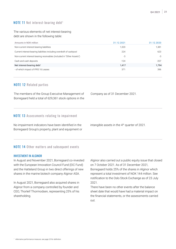## The various elements of net interest-bearing debt are shown in the following table:

| Amounts in NOK million                                                | 31.12.2021 | 31.12.2020 |
|-----------------------------------------------------------------------|------------|------------|
| Non-current interest-bearing liabilities                              | 1.320      | 1.381      |
| Current interest-bearing liabilities including overdraft of cashpool  | 224        | 623        |
| Non-current interest-bearing receivables (included in "Other Assets") | -3         | -3         |
| Cash and cash deposits                                                | $-124$     | $-207$     |
| Net interest-bearing debt <sup>1</sup>                                | 1.417      | 1.794      |
| - of which impact of IFRS 16 Leases                                   | 371        | 396        |

# NOTE 12 Related parties

The members of the Group Executive Management of Borregaard held a total of 629,361 stock options in the Company as of 31 December 2021.

# NOTE 13 Assessments relating to impairment

No impairment indicators have been identified in the Borregaard Group's property, plant and equipment or intangible assets in the 4th quarter of 2021.

# NOTE 14 Other matters and subsequent events

## INVESTMENT IN ALGINOR

In August and November 2021, Borregaard co-invested with the European Innovation Council Fund (EIC Fund) and the Hatteland Group in two direct offerings of new shares in the marine biotech company Alginor ASA.

In August 2021, Borregaard also acquired shares in Alginor from a company controlled by founder and CEO, Thorleif Thormodsen, representing 25% of his shareholding.

Alginor also carried out a public equity issue that closed on 7 October 2021. As of 31 December 2021, Borregaard holds 25% of the shares in Alginor which represent a total investment of NOK 144 million. See notification to the Oslo Stock Exchange as of 23 July 2021.

There have been no other events after the balance sheet date that would have had a material impact on the financial statements, or the assessments carried out.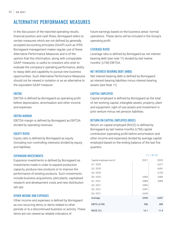# ALTERNATIVE PERFORMANCE MEASURES

In the discussion of the reported operating results, financial position and cash flows, Borregaard refers to certain measures which are not defined by generally accepted accounting principles (GAAP) such as IFRS. Borregaard management makes regular use of these Alternative Performance Measures and is of the opinion that this information, along with comparable GAAP measures, is useful to investors who wish to evaluate the company's operating performance, ability to repay debt and capability to pursue new business opportunities. Such Alternative Performance Measures should not be viewed in isolation or as an alternative to the equivalent GAAP measure.

## **FRITDA**

EBITDA is defined by Borregaard as operating profit before depreciation, amortisation and other income and expenses.

## EBITDA MARGIN

EBITDA margin is defined by Borregaard as EBITDA divided by operating revenues.

### EQUITY RATIO

Equity ratio is defined by Borregaard as equity (including non-controlling interests) divided by equity and liabilities.

### EXPANSION INVESTMENTS

Expansion investments is defined by Borregaard as investments made in order to expand production capacity, produce new products or to improve the performance of existing products. Such investments include business acquisitions, pilot plants, capitalised research and development costs and new distribution set-ups.

### OTHER INCOME AND EXPENSES

Other income and expenses is defined by Borregaard as non-recurring items or items related to other periods or to a discontinued business or activity. These items are not viewed as reliable indicators of

future earnings based on the business areas' normal operations. These items will be included in the Group's operating profit.

### LEVERAGE RATIO

Leverage ratio is defined by Borregaard as net interest bearing debt (see note 11) divided by last twelve months' (LTM) EBITDA.

### NET INTEREST-BEARING DEBT (NIBD)

Net interest-bearing debt is defined by Borregaard as interest-bearing liabilities minus interest-bearing assets (see Note 11).

### CAPITAL EMPLOYED

Capital employed is defined by Borregaard as the total of net working capital, intangible assets, property, plant and equipment, right-of-use assets and investment in joint venture minus net pension liabilities.

### RETURN ON CAPITAL EMPLOYED (ROCE)

Return on capital employed (ROCE) is defined by Borregaard as last twelve months (LTM) capital contribution (operating profit before amortisation and other income and expenses) divided by average capital employed based on the ending balance of the last five quarters.

|                         |       | $1.1 - 31.12$ |  |
|-------------------------|-------|---------------|--|
| Capital employed end of | 2021  | 2020          |  |
| Q1, 2020                |       | 6,371         |  |
| Q2, 2020                |       | 6,091         |  |
| Q3, 2020                |       | 6,103         |  |
| Q4, 2020                | 5,904 | 5,904         |  |
| Q1, 2021                | 5,884 | 5,884         |  |
| Q2, 2021                | 5,854 |               |  |
| Q3, 2021                | 5,991 |               |  |
| Q4, 2021                | 6,043 |               |  |
| Average                 | 5,935 | 6,057         |  |
| EBITA (LTM)             | 956   | 689           |  |
| ROCE (%)                | 16.1  | 11.4          |  |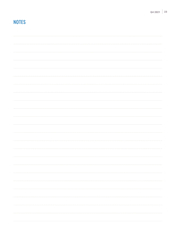# **NOTES**

|  | $\cdots$    |
|--|-------------|
|  |             |
|  |             |
|  |             |
|  |             |
|  |             |
|  | $rac{1}{2}$ |